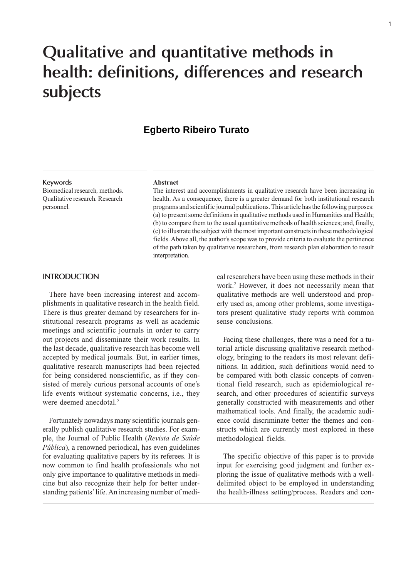# Qualitative and quantitative methods in health: definitions, differences and research subjects

# **Egberto Ribeiro Turato**

#### **Keywords**

Biomedical research*,* methods*.* Qualitative research*.* Research personnel*.*

#### **Abstract**

The interest and accomplishments in qualitative research have been increasing in health. As a consequence, there is a greater demand for both institutional research programs and scientific journal publications. This article has the following purposes: (a) to present some definitions in qualitative methods used in Humanities and Health; (b) to compare them to the usual quantitative methods of health sciences; and, finally, (c) to illustrate the subject with the most important constructs in these methodological fields. Above all, the author's scope was to provide criteria to evaluate the pertinence of the path taken by qualitative researchers, from research plan elaboration to result interpretation.

#### **INTRODUCTION**

There have been increasing interest and accomplishments in qualitative research in the health field. There is thus greater demand by researchers for institutional research programs as well as academic meetings and scientific journals in order to carry out projects and disseminate their work results. In the last decade, qualitative research has become well accepted by medical journals. But, in earlier times, qualitative research manuscripts had been rejected for being considered nonscientific, as if they consisted of merely curious personal accounts of one's life events without systematic concerns, i.e., they were deemed anecdotal.<sup>2</sup>

Fortunately nowadays many scientific journals generally publish qualitative research studies. For example, the Journal of Public Health (*Revista de Saúde Pública*), a renowned periodical, has even guidelines for evaluating qualitative papers by its referees. It is now common to find health professionals who not only give importance to qualitative methods in medicine but also recognize their help for better understanding patients' life. An increasing number of medical researchers have been using these methods in their work.2 However, it does not necessarily mean that qualitative methods are well understood and properly used as, among other problems, some investigators present qualitative study reports with common sense conclusions.

Facing these challenges, there was a need for a tutorial article discussing qualitative research methodology, bringing to the readers its most relevant definitions. In addition, such definitions would need to be compared with both classic concepts of conventional field research, such as epidemiological research, and other procedures of scientific surveys generally constructed with measurements and other mathematical tools. And finally, the academic audience could discriminate better the themes and constructs which are currently most explored in these methodological fields.

The specific objective of this paper is to provide input for exercising good judgment and further exploring the issue of qualitative methods with a welldelimited object to be employed in understanding the health-illness setting/process. Readers and con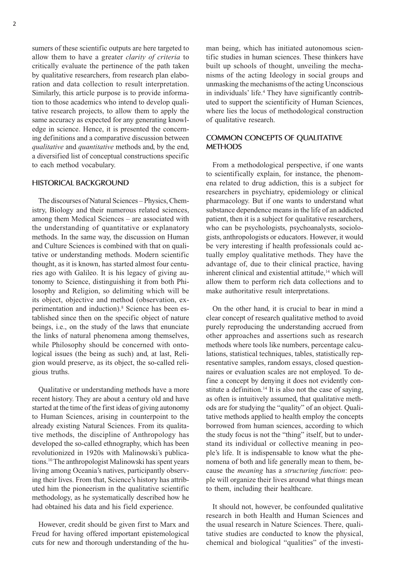sumers of these scientific outputs are here targeted to allow them to have a greater *clarity of criteria* to critically evaluate the pertinence of the path taken by qualitative researchers, from research plan elaboration and data collection to result interpretation. Similarly, this article purpose is to provide information to those academics who intend to develop qualitative research projects, to allow them to apply the same accuracy as expected for any generating knowledge in science. Hence, it is presented the concerning definitions and a comparative discussion between *qualitative* and *quantitative* methods and, by the end, a diversified list of conceptual constructions specific to each method vocabulary.

## HISTORICAL BACKGROUND

The discourses of Natural Sciences – Physics, Chemistry, Biology and their numerous related sciences, among them Medical Sciences – are associated with the understanding of quantitative or explanatory methods. In the same way, the discussion on Human and Culture Sciences is combined with that on qualitative or understanding methods. Modern scientific thought, as it is known, has started almost four centuries ago with Galileo. It is his legacy of giving autonomy to Science, distinguishing it from both Philosophy and Religion, so delimiting which will be its object, objective and method (observation, experimentation and induction).8 Science has been established since then on the specific object of nature beings, i.e., on the study of the laws that enunciate the links of natural phenomena among themselves, while Philosophy should be concerned with ontological issues (the being as such) and, at last, Religion would preserve, as its object, the so-called religious truths.

Qualitative or understanding methods have a more recent history. They are about a century old and have started at the time of the first ideas of giving autonomy to Human Sciences, arising in counterpoint to the already existing Natural Sciences. From its qualitative methods, the discipline of Anthropology has developed the so-called ethnography, which has been revolutionized in 1920s with Malinowski's publications.10 The anthropologist Malinowski has spent years living among Oceania's natives, participantly observing their lives. From that, Science's history has attributed him the pioneerism in the qualitative scientific methodology, as he systematically described how he had obtained his data and his field experience.

However, credit should be given first to Marx and Freud for having offered important epistemological cuts for new and thorough understanding of the human being, which has initiated autonomous scientific studies in human sciences. These thinkers have built up schools of thought, unveiling the mechanisms of the acting Ideology in social groups and unmasking the mechanisms of the acting Unconscious in individuals' life.<sup>4</sup> They have significantly contributed to support the scientificity of Human Sciences, where lies the locus of methodological construction of qualitative research.

## COMMON CONCEPTS OF QUALITATIVE MFTHODS

From a methodological perspective, if one wants to scientifically explain, for instance, the phenomena related to drug addiction, this is a subject for researchers in psychiatry, epidemiology or clinical pharmacology. But if one wants to understand what substance dependence means in the life of an addicted patient, then it is a subject for qualitative researchers, who can be psychologists, psychoanalysts, sociologists, anthropologists or educators. However, it would be very interesting if health professionals could actually employ qualitative methods. They have the advantage of, due to their clinical practice, having inherent clinical and existential attitude,<sup>14</sup> which will allow them to perform rich data collections and to make authoritative result interpretations.

On the other hand, it is crucial to bear in mind a clear concept of research qualitative method to avoid purely reproducing the understanding accrued from other approaches and assertions such as research methods where tools like numbers, percentage calculations, statistical techniques, tables, statistically representative samples, random essays, closed questionnaires or evaluation scales are not employed. To define a concept by denying it does not evidently constitute a definition.<sup>14</sup> It is also not the case of saying, as often is intuitively assumed, that qualitative methods are for studying the "quality" of an object. Qualitative methods applied to health employ the concepts borrowed from human sciences, according to which the study focus is not the "thing" itself, but to understand its individual or collective meaning in people's life. It is indispensable to know what the phenomena of both and life generally mean to them, because the *meaning* has a *structuring function*: people will organize their lives around what things mean to them, including their healthcare.

It should not, however, be confounded qualitative research in both Health and Human Sciences and the usual research in Nature Sciences. There, qualitative studies are conducted to know the physical, chemical and biological "qualities" of the investi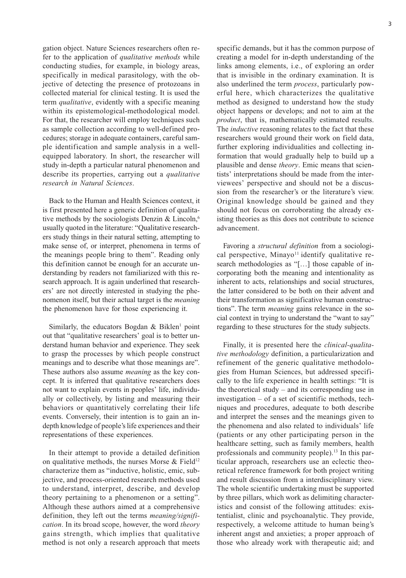gation object. Nature Sciences researchers often refer to the application of *qualitative methods* while conducting studies, for example, in biology areas, specifically in medical parasitology, with the objective of detecting the presence of protozoans in collected material for clinical testing. It is used the term *qualitative*, evidently with a specific meaning within its epistemological-methodological model. For that, the researcher will employ techniques such as sample collection according to well-defined procedures; storage in adequate containers, careful sample identification and sample analysis in a wellequipped laboratory. In short, the researcher will study in-depth a particular natural phenomenon and describe its properties, carrying out a *qualitative research in Natural Sciences*.

Back to the Human and Health Sciences context, it is first presented here a generic definition of qualitative methods by the sociologists Denzin  $& Lincoln,^6$ usually quoted in the literature: "Qualitative researchers study things in their natural setting, attempting to make sense of, or interpret, phenomena in terms of the meanings people bring to them". Reading only this definition cannot be enough for an accurate understanding by readers not familiarized with this research approach. It is again underlined that researchers' are not directly interested in studying the phenomenon itself, but their actual target is the *meaning* the phenomenon have for those experiencing it.

Similarly, the educators Bogdan  $\&$  Biklen<sup>1</sup> point out that "qualitative researchers' goal is to better understand human behavior and experience. They seek to grasp the processes by which people construct meanings and to describe what those meanings are". These authors also assume *meaning* as the key concept. It is inferred that qualitative researchers does not want to explain events in peoples' life, individually or collectively, by listing and measuring their behaviors or quantitatively correlating their life events. Conversely, their intention is to gain an indepth knowledge of people's life experiences and their representations of these experiences.

In their attempt to provide a detailed definition on qualitative methods, the nurses Morse & Field<sup>12</sup> characterize them as "inductive, holistic, emic, subjective, and process-oriented research methods used to understand, interpret, describe, and develop theory pertaining to a phenomenon or a setting". Although these authors aimed at a comprehensive definition, they left out the terms *meaning/signification*. In its broad scope, however, the word *theory* gains strength, which implies that qualitative method is not only a research approach that meets specific demands, but it has the common purpose of creating a model for in-depth understanding of the links among elements, i.e., of exploring an order that is invisible in the ordinary examination. It is also underlined the term *process*, particularly powerful here, which characterizes the qualitative method as designed to understand how the study object happens or develops; and not to aim at the *product*, that is, mathematically estimated results. The *inductive* reasoning relates to the fact that these researchers would ground their work on field data, further exploring individualities and collecting information that would gradually help to build up a plausible and dense *theory*. Emic means that scientists' interpretations should be made from the interviewees' perspective and should not be a discussion from the researcher's or the literature's view. Original knowledge should be gained and they should not focus on corroborating the already existing theories as this does not contribute to science advancement.

Favoring a *structural definition* from a sociological perspective,  $Minayo<sup>11</sup>$  identify qualitative research methodologies as "[…] those capable of incorporating both the meaning and intentionality as inherent to acts, relationships and social structures, the latter considered to be both on their advent and their transformation as significative human constructions". The term *meaning* gains relevance in the social context in trying to understand the "want to say" regarding to these structures for the study subjects.

Finally, it is presented here the *clinical-qualitative methodology* definition, a particularization and refinement of the generic qualitative methodologies from Human Sciences, but addressed specifically to the life experience in health settings: "It is the theoretical study – and its corresponding use in investigation – of a set of scientific methods, techniques and procedures, adequate to both describe and interpret the senses and the meanings given to the phenomena and also related to individuals' life (patients or any other participating person in the healthcare setting, such as family members, health professionals and community people).<sup>13</sup> In this particular approach, researchers use an eclectic theoretical reference framework for both project writing and result discussion from a interdisciplinary view. The whole scientific undertaking must be supported by three pillars, which work as delimiting characteristics and consist of the following attitudes: existentialist, clinic and psychoanalytic. They provide, respectively, a welcome attitude to human being's inherent angst and anxieties; a proper approach of those who already work with therapeutic aid; and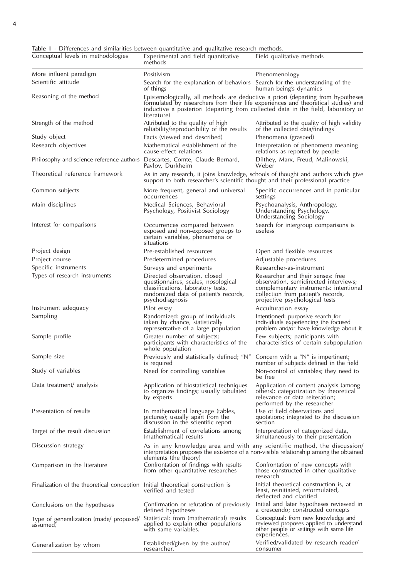|  |  |  | Table 1 - Differences and similarities between quantitative and qualitative research methods. |  |  |
|--|--|--|-----------------------------------------------------------------------------------------------|--|--|
|  |  |  |                                                                                               |  |  |

| Conceptual levels in methodologies                                             | Experimental and field quantitative<br>methods                                                                                                                        | Field qualitative methods                                                                                                                                                                                                                                   |
|--------------------------------------------------------------------------------|-----------------------------------------------------------------------------------------------------------------------------------------------------------------------|-------------------------------------------------------------------------------------------------------------------------------------------------------------------------------------------------------------------------------------------------------------|
| More influent paradigm                                                         | Positivism                                                                                                                                                            | Phenomenology                                                                                                                                                                                                                                               |
| Scientific attitude                                                            | Search for the explanation of behaviors Search for the understanding of the<br>of things                                                                              | human being's dynamics                                                                                                                                                                                                                                      |
| Reasoning of the method                                                        | literature)                                                                                                                                                           | Epistemologically, all methods are deductive a priori (departing from hypotheses<br>formulated by researchers from their life experiences and theoretical studies) and<br>inductive a posteriori (departing from collected data in the field, laboratory or |
| Strength of the method                                                         | Attributed to the quality of high<br>reliability/reproducibility of the results                                                                                       | Attributed to the quality of high validity<br>of the collected data/findings                                                                                                                                                                                |
| Study object                                                                   | Facts (viewed and described)                                                                                                                                          | Phenomena (grasped)                                                                                                                                                                                                                                         |
| Research objectives                                                            | Mathematical establishment of the<br>cause-effect relations                                                                                                           | Interpretation of phenomena meaning<br>relations as reported by people                                                                                                                                                                                      |
| Philosophy and science reference authors Descartes, Comte, Claude Bernard,     | Pavlov, Durkheim                                                                                                                                                      | Dilthey, Marx, Freud, Malinowski,<br>Weber                                                                                                                                                                                                                  |
| Theoretical reference framework                                                | support to both researcher's scientific thought and their professional practice                                                                                       | As in any research, it joins knowledge, schools of thought and authors which give                                                                                                                                                                           |
| Common subjects                                                                | More frequent, general and universal<br>occurrences                                                                                                                   | Specific occurrences and in particular<br>settings                                                                                                                                                                                                          |
| Main disciplines                                                               | Medical Sciences, Behavioral<br>Psychology, Positivist Sociology                                                                                                      | Psychoanalysis, Anthropology,<br>Understanding Psychology,<br>Understanding Sociology                                                                                                                                                                       |
| Interest for comparisons                                                       | Occurrences compared between<br>exposed and non-exposed groups to<br>certain variables, phenomena or<br>situations                                                    | Search for intergroup comparisons is<br>useless                                                                                                                                                                                                             |
| Project design                                                                 | Pre-established resources                                                                                                                                             | Open and flexible resources                                                                                                                                                                                                                                 |
| Project course                                                                 | Predetermined procedures                                                                                                                                              | Adjustable procedures                                                                                                                                                                                                                                       |
| Specific instruments                                                           | Surveys and experiments                                                                                                                                               | Researcher-as-instrument                                                                                                                                                                                                                                    |
| Types of research instruments                                                  | Directed observation, closed<br>questionnaires, scales, nosological<br>classifications, laboratory tests,<br>randomized data of patient's records,<br>psychodiagnosis | Researcher and their senses: free<br>observation, semidirected interviews;<br>complementary instruments: intentional<br>collection from patient's records,<br>projective psychological tests                                                                |
| Instrument adequacy                                                            | Pilot essay                                                                                                                                                           | Acculturation essay                                                                                                                                                                                                                                         |
| Sampling                                                                       | Randomized: group of individuals<br>taken by chance, statistically<br>representative of a large population                                                            | Intentioned: purposive search for<br>individuals experiencing the focused<br>problem and/or have knowledge about it                                                                                                                                         |
| Sample profile                                                                 | Greater number of subjects;<br>participants with characteristics of the<br>whole population                                                                           | Few subjects; participants with<br>characteristics of certain subpopulation                                                                                                                                                                                 |
| Sample size                                                                    | Previously and statistically defined; "N"<br>is required                                                                                                              | Concern with a "N" is impertinent;<br>number of subjects defined in the field                                                                                                                                                                               |
| Study of variables                                                             | Need for controlling variables                                                                                                                                        | Non-control of variables; they need to<br>be free                                                                                                                                                                                                           |
| Data treatment/ analysis                                                       | Application of biostatistical techniques<br>to organize findings; usually tabulated<br>by experts                                                                     | Application of content analysis (among<br>others): categorization by theoretical<br>relevance or data reiteration;<br>performed by the researcher                                                                                                           |
| Presentation of results                                                        | In mathematical language (tables,<br>pictures); usually apart from the<br>discussion in the scientific report                                                         | Use of field observations and<br>quotations; integrated to the discussion<br>section                                                                                                                                                                        |
| Target of the result discussion                                                | Establishment of correlations among<br>(mathematical) results                                                                                                         | Interpretation of categorized data,<br>simultaneously to their presentation                                                                                                                                                                                 |
| Discussion strategy                                                            | elements (the theory)                                                                                                                                                 | As in any knowledge area and with any scientific method, the discussion/<br>interpretation proposes the existence of a non-visible relationship among the obtained                                                                                          |
| Comparison in the literature                                                   | Confrontation of findings with results<br>from other quantitative researches                                                                                          | Confrontation of new concepts with<br>those constructed in other qualitative<br>research                                                                                                                                                                    |
| Finalization of the theoretical conception Initial theoretical construction is | verified and tested                                                                                                                                                   | Initial theoretical construction is, at<br>least, reinitiated, reformulated,<br>deflected and clarified                                                                                                                                                     |
| Conclusions on the hypotheses                                                  | Confirmation or refutation of previously<br>defined hypotheses                                                                                                        | Initial and later hypotheses reviewed in<br>a crescendo; constructed concepts                                                                                                                                                                               |
| Type of generalization (made/ proposed/<br>assumed)                            | Statistical: from (mathematical) results<br>applied to explain other populations<br>with same variables.                                                              | Conceptual: from new knowledge and<br>reviewed proposes applied to understand<br>other people or settings with same life<br>experiences.                                                                                                                    |
| Generalization by whom                                                         | Established/given by the author/<br>researcher.                                                                                                                       | Verified/validated by research reader/<br>consumer                                                                                                                                                                                                          |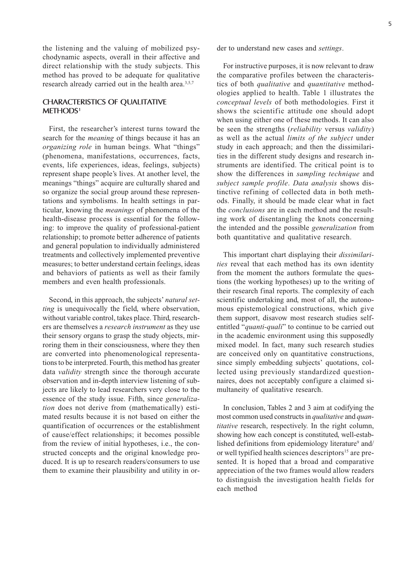the listening and the valuing of mobilized psychodynamic aspects, overall in their affective and direct relationship with the study subjects. This method has proved to be adequate for qualitative research already carried out in the health area.<sup>3,5,7</sup>

# CHARACTERISTICS OF OUALITATIVE  $METHODS<sup>1</sup>$

First, the researcher's interest turns toward the search for the *meaning* of things because it has an *organizing role* in human beings. What "things" (phenomena, manifestations, occurrences, facts, events, life experiences, ideas, feelings, subjects) represent shape people's lives. At another level, the meanings "things" acquire are culturally shared and so organize the social group around these representations and symbolisms. In health settings in particular, knowing the *meanings* of phenomena of the health-disease process is essential for the following: to improve the quality of professional-patient relationship; to promote better adherence of patients and general population to individually administered treatments and collectively implemented preventive measures; to better understand certain feelings, ideas and behaviors of patients as well as their family members and even health professionals.

Second, in this approach, the subjects' *natural setting* is unequivocally the field, where observation, without variable control, takes place. Third, researchers are themselves a *research instrument* as they use their sensory organs to grasp the study objects, mirroring them in their consciousness, where they then are converted into phenomenological representations to be interpreted. Fourth, this method has greater data *validity* strength since the thorough accurate observation and in-depth interview listening of subjects are likely to lead researchers very close to the essence of the study issue. Fifth, since *generalization* does not derive from (mathematically) estimated results because it is not based on either the quantification of occurrences or the establishment of cause/effect relationships; it becomes possible from the review of initial hypotheses, i.e., the constructed concepts and the original knowledge produced. It is up to research readers/consumers to use them to examine their plausibility and utility in order to understand new cases and *settings*.

For instructive purposes, it is now relevant to draw the comparative profiles between the characteristics of both *qualitative* and *quantitative* methodologies applied to health. Table 1 illustrates the *conceptual levels* of both methodologies. First it shows the scientific attitude one should adopt when using either one of these methods. It can also be seen the strengths (*reliability* versus *validity*) as well as the actual *limits of the subject* under study in each approach; and then the dissimilarities in the different study designs and research instruments are identified. The critical point is to show the differences in *sampling technique* and *subject sample profile*. *Data analysis* shows distinctive refining of collected data in both methods. Finally, it should be made clear what in fact the *conclusions* are in each method and the resulting work of disentangling the knots concerning the intended and the possible *generalization* from both quantitative and qualitative research.

This important chart displaying their *dissimilarities* reveal that each method has its own identity from the moment the authors formulate the questions (the working hypotheses) up to the writing of their research final reports. The complexity of each scientific undertaking and, most of all, the autonomous epistemological constructions, which give them support, disavow most research studies selfentitled "*quanti-quali*" to continue to be carried out in the academic environment using this supposedly mixed model. In fact, many such research studies are conceived only on quantitative constructions, since simply embedding subjects' quotations, collected using previously standardized questionnaires, does not acceptably configure a claimed simultaneity of qualitative research.

In conclusion, Tables 2 and 3 aim at codifying the most common used constructs in *qualitative* and *quantitative* research, respectively. In the right column, showing how each concept is constituted, well-established definitions from epidemiology literature<sup>9</sup> and/ or well typified health sciences descriptors<sup>15</sup> are presented. It is hoped that a broad and comparative appreciation of the two frames would allow readers to distinguish the investigation health fields for each method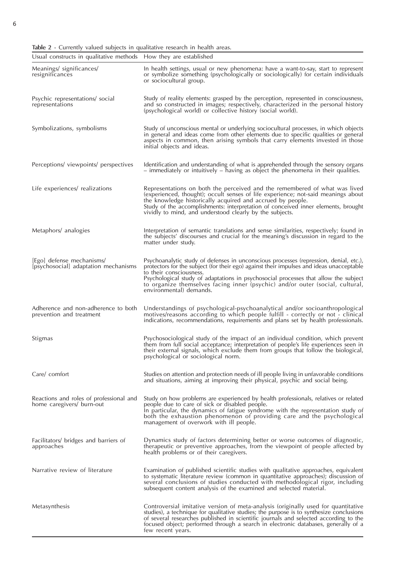| Usual constructs in qualitative methods   How they are established   |                                                                                                                                                                                                                                                                                                                                                                                                                 |
|----------------------------------------------------------------------|-----------------------------------------------------------------------------------------------------------------------------------------------------------------------------------------------------------------------------------------------------------------------------------------------------------------------------------------------------------------------------------------------------------------|
| Meanings/ significances/<br>resignificances                          | In health settings, usual or new phenomena: have a want-to-say, start to represent<br>or symbolize something (psychologically or sociologically) for certain individuals<br>or sociocultural group.                                                                                                                                                                                                             |
| Psychic representations/social<br>representations                    | Study of reality elements: grasped by the perception, represented in consciousness,<br>and so constructed in images; respectively, characterized in the personal history<br>(psychological world) or collective history (social world).                                                                                                                                                                         |
| Symbolizations, symbolisms                                           | Study of unconscious mental or underlying sociocultural processes, in which objects<br>in general and ideas come from other elements due to specific qualities or general<br>aspects in common, then arising symbols that carry elements invested in those<br>initial objects and ideas.                                                                                                                        |
| Perceptions/viewpoints/perspectives                                  | Identification and understanding of what is apprehended through the sensory organs<br>- immediately or intuitively – having as object the phenomena in their qualities.                                                                                                                                                                                                                                         |
| Life experiences/ realizations                                       | Representations on both the perceived and the remembered of what was lived<br>(experienced, thought); occult senses of life experience; not-said meanings about<br>the knowledge historically acquired and accrued by people.<br>Study of the accomplishments: interpretation of conceived inner elements, brought<br>vividly to mind, and understood clearly by the subjects.                                  |
| Metaphors/ analogies                                                 | Interpretation of semantic translations and sense similarities, respectively; found in<br>the subjects' discourses and crucial for the meaning's discussion in regard to the<br>matter under study.                                                                                                                                                                                                             |
| [Ego] defense mechanisms/<br>[psychosocial] adaptation mechanisms    | Psychoanalytic study of defenses in unconscious processes (repression, denial, etc.),<br>protectors for the subject (for their ego) against their impulses and ideas unacceptable<br>to their consciousness.<br>Psychological study of adaptations in psychosocial processes that allow the subject<br>to organize themselves facing inner (psychic) and/or outer (social, cultural,<br>environmental) demands. |
| Adherence and non-adherence to both<br>prevention and treatment      | Understandings of psychological-psychoanalytical and/or socioanthropological<br>motives/reasons according to which people fulfill - correctly or not - clinical<br>indications, recommendations, requirements and plans set by health professionals.                                                                                                                                                            |
| Stigmas                                                              | Psychosociological study of the impact of an individual condition, which prevent<br>them from full social acceptance; interpretation of people's life experiences seen in<br>their external signals, which exclude them from groups that follow the biological,<br>psychological or sociological norm.                                                                                                          |
| Care/comfort                                                         | Studies on attention and protection needs of ill people living in unfavorable conditions<br>and situations, aiming at improving their physical, psychic and social being.                                                                                                                                                                                                                                       |
| Reactions and roles of professional and<br>home caregivers/ burn-out | Study on how problems are experienced by health professionals, relatives or related<br>people due to care of sick or disabled people.<br>In particular, the dynamics of fatigue syndrome with the representation study of<br>both the exhaustion phenomenon of providing care and the psychological<br>management of overwork with ill people.                                                                  |
| Facilitators/ bridges and barriers of<br>approaches                  | Dynamics study of factors determining better or worse outcomes of diagnostic,<br>therapeutic or preventive approaches, from the viewpoint of people affected by<br>health problems or of their caregivers.                                                                                                                                                                                                      |
| Narrative review of literature                                       | Examination of published scientific studies with qualitative approaches, equivalent<br>to systematic literature review (common in quantitative approaches); discussion of<br>several conclusions of studies conducted with methodological rigor, including<br>subsequent content analysis of the examined and selected material.                                                                                |
| Metasynthesis                                                        | Controversial imitative version of meta-analysis (originally used for quantitative<br>studies), a technique for qualitative studies; the purpose is to synthesize conclusions<br>of several researches published in scientific journals and selected according to the<br>focused object; performed through a search in electronic databases, generally of a<br>few recent years.                                |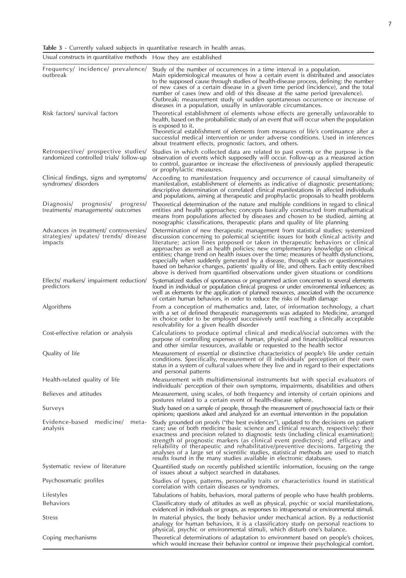Table 3 - Currently valued subjects in quantitative research in health areas.<br>Usual constructs in quantitative methods How they are established

| Osual constructs in quantitative metrious Trow they are established                      |                                                                                                                                                                                                                                                                                                                                                                                                                                                                                                                                                                                                                                                                                                               |
|------------------------------------------------------------------------------------------|---------------------------------------------------------------------------------------------------------------------------------------------------------------------------------------------------------------------------------------------------------------------------------------------------------------------------------------------------------------------------------------------------------------------------------------------------------------------------------------------------------------------------------------------------------------------------------------------------------------------------------------------------------------------------------------------------------------|
| Frequency/ incidence/ prevalence/<br>outbreak                                            | Study of the number of occurrences in a time interval in a population.<br>Main epidemiological measures of how a certain event is distributed and associates<br>to the supposed cause through studies of health-disease process, defining: the number<br>of new cases of a certain disease in a given time period (incidence), and the total<br>number of cases (new and old) of this disease at the same period (prevalence).<br>Outbreak: measurement study of sudden spontaneous occurrence or increase of<br>diseases in a population, usually in unfavorable circumstances.                                                                                                                              |
| Risk factors/ survival factors                                                           | Theoretical establishment of elements whose effects are generally unfavorable to<br>health, based on the probabilistic study of an event that will occur when the population<br>is exposed to it.<br>Theoretical establishment of elements from measures of life's continuance after a<br>successful medical intervention or under adverse conditions. Used in inferences<br>about treatment effects, prognostic factors, and others.                                                                                                                                                                                                                                                                         |
| Retrospective/ prospective studies/<br>randomized controlled trials/ follow-up           | Studies in which collected data are related to past events or the purpose is the<br>observation of events which supposedly will occur. Follow-up as a measured action<br>to control, guarantee or increase the effectiveness of previously applied therapeutic<br>or prophylactic measures.                                                                                                                                                                                                                                                                                                                                                                                                                   |
| Clinical findings, signs and symptoms/<br>syndromes/ disorders                           | According to manifestation frequency and occurrence of causal simultaneity of<br>manifestation, establishment of elements as indicative of diagnostic presentations;<br>descriptive determination of correlated clinical manifestations in affected individuals<br>and populations, aiming at therapeutic and prophylactic proposals to health problems                                                                                                                                                                                                                                                                                                                                                       |
| Diagnosis/ prognosis/ progress/<br>treatments/ managements/ outcomes                     | Theoretical determination of the nature and multiple conditions in regard to clinical<br>entities and health approaches; concepts basically constructed from mathematical<br>means from populations affected by diseases and chosen to be studied, aiming at<br>nosographic classifications, therapeutic plans and quality of life planning                                                                                                                                                                                                                                                                                                                                                                   |
| Advances in treatment/ controversies/<br>strategies/ updates/ trends/ disease<br>impacts | Determination of new therapeutic management from statistical studies; systemized<br>discussion concerning to polemical scientific issues for both clinical activity and<br>literature; action lines proposed or taken in therapeutic behaviors or clinical<br>approaches as well as health policies; new complementary knowledge on clinical<br>entities; change trend on health issues over the time; measures of health dysfunctions,<br>especially when suddenly generated by a disease, through scales or questionnaires<br>based on behavior changes, patients' quality of life, and others. Each entity described<br>above is derived from quantified observations under given situations or conditions |
| Effects/ markers/ impairment reduction/<br>predictors                                    | Systematized studies of spontaneous or programmed action concerned to several elements<br>found in individual or population clinical progress or under environmental influences; as<br>well as elements for the application of planned resources, associated with the occurrence<br>of certain human behaviors, in order to reduce the risks of health damage                                                                                                                                                                                                                                                                                                                                                 |
| Algorithms                                                                               | From a conception of mathematics and, later, of information technology, a chart<br>with a set of defined therapeutic managements was adapted to Medicine, arranged<br>in choice order to be employed successively until reaching a clinically acceptable<br>resolvability for a given health disorder                                                                                                                                                                                                                                                                                                                                                                                                         |
| Cost-effective relation or analysis                                                      | Calculations to produce optimal clinical and medical/social outcomes with the<br>purpose of controlling expenses of human, physical and financial/political resources<br>and other similar resources, available or requested to the health sector                                                                                                                                                                                                                                                                                                                                                                                                                                                             |
| Quality of life                                                                          | Measurement of essential or distinctive characteristics of people's life under certain<br>conditions. Specifically, measurement of ill individuals' perception of their own<br>status in a system of cultural values where they live and in regard to their expectations<br>and personal patterns                                                                                                                                                                                                                                                                                                                                                                                                             |
| Health-related quality of life                                                           | Measurement with multidimensional instruments but with special evaluators of<br>individuals' perception of their own symptoms, impairments, disabilities and others                                                                                                                                                                                                                                                                                                                                                                                                                                                                                                                                           |
| Believes and attitudes                                                                   | Measurement, using scales, of both frequency and intensity of certain opinions and<br>postures related to a certain event of health-disease sphere.                                                                                                                                                                                                                                                                                                                                                                                                                                                                                                                                                           |
| Surveys                                                                                  | Study based on a sample of people, through the measurement of psychosocial facts or their<br>opinions; questions asked and analyzed for an eventual intervention in the population                                                                                                                                                                                                                                                                                                                                                                                                                                                                                                                            |
| Evidence-based medicine/ meta-<br>analysis                                               | Study grounded on proofs ("the best evidences"), updated to the decisions on patient<br>care; use of both medicine basic science and clinical research, respectively: their<br>exactness and precision related to diagnostic tests (including clinical examination);<br>strength of prognostic markers (as clinical event predictors); and efficacy and<br>reliability of therapeutic and rehabilitative/preventive decisions. Targeting the<br>analyses of a large set of scientific studies, statistical methods are used to match<br>results found in the many studies available in electronic databases.                                                                                                  |
| Systematic review of literature                                                          | Quantified study on recently published scientific information, focusing on the range<br>of issues about a subject searched in databases.                                                                                                                                                                                                                                                                                                                                                                                                                                                                                                                                                                      |
| Psychosomatic profiles                                                                   | Studies of types, patterns, personality traits or characteristics found in statistical<br>correlation with certain diseases or syndromes.                                                                                                                                                                                                                                                                                                                                                                                                                                                                                                                                                                     |
| Lifestyles                                                                               | Tabulations of habits, behaviors, moral patterns of people who have health problems.                                                                                                                                                                                                                                                                                                                                                                                                                                                                                                                                                                                                                          |
| <b>Behaviors</b>                                                                         | Classificatory study of attitudes as well as physical, psychic or social manifestations,<br>evidenced in individuals or groups, as responses to intrapersonal or environmental stimuli.                                                                                                                                                                                                                                                                                                                                                                                                                                                                                                                       |
| <b>Stress</b>                                                                            | In material physics, the body behavior under mechanical action. By a reductionist<br>analogy for human behaviors, it is a classificatory study on personal reactions to<br>physical, psychic or environmental stimuli, which disturb one's balance.                                                                                                                                                                                                                                                                                                                                                                                                                                                           |
| Coping mechanisms                                                                        | Theoretical determinations of adaptation to environment based on people's choices,<br>which would increase their behavior control or improve their psychological comfort.                                                                                                                                                                                                                                                                                                                                                                                                                                                                                                                                     |